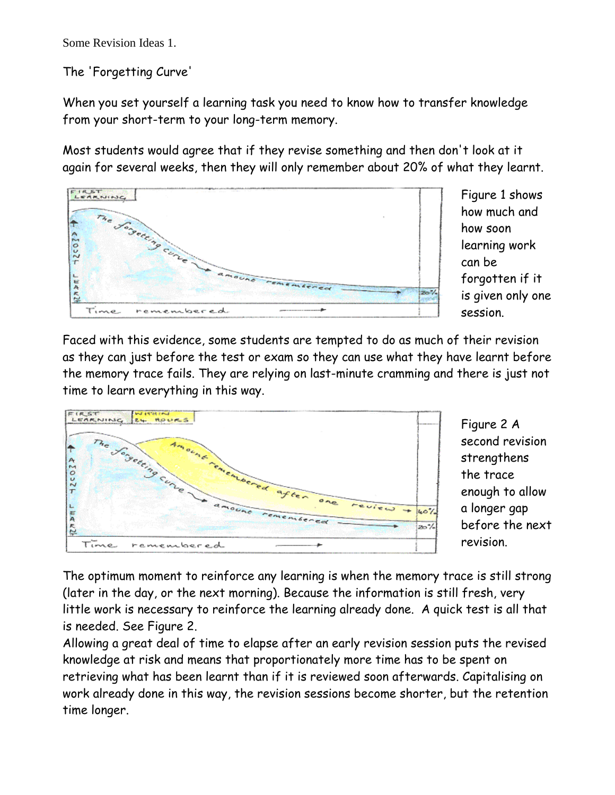Some Revision Ideas 1.

The 'Forgetting Curve'

When you set yourself a learning task you need to know how to transfer knowledge from your short-term to your long-term memory.

Most students would agree that if they revise something and then don't look at it again for several weeks, then they will only remember about 20% of what they learnt.



Figure 1 shows how much and how soon learning work can be forgotten if it is given only one session.

Faced with this evidence, some students are tempted to do as much of their revision as they can just before the test or exam so they can use what they have learnt before the memory trace fails. They are relying on last-minute cramming and there is just not time to learn everything in this way.



Figure 2 A second revision strengthens the trace enough to allow a longer gap before the next revision.

The optimum moment to reinforce any learning is when the memory trace is still strong (later in the day, or the next morning). Because the information is still fresh, very little work is necessary to reinforce the learning already done. A quick test is all that is needed. See Figure 2.

Allowing a great deal of time to elapse after an early revision session puts the revised knowledge at risk and means that proportionately more time has to be spent on retrieving what has been learnt than if it is reviewed soon afterwards. Capitalising on work already done in this way, the revision sessions become shorter, but the retention time longer.